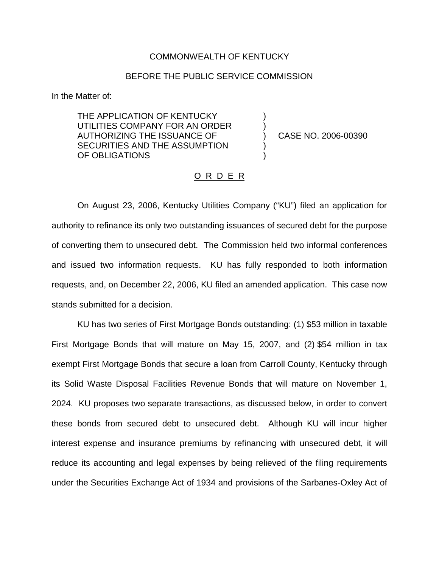## COMMONWEALTH OF KENTUCKY

## BEFORE THE PUBLIC SERVICE COMMISSION

) )

) )

In the Matter of:

THE APPLICATION OF KENTUCKY UTILITIES COMPANY FOR AN ORDER AUTHORIZING THE ISSUANCE OF SECURITIES AND THE ASSUMPTION OF OBLIGATIONS

) CASE NO. 2006-00390

## <u>O R D E R</u>

On August 23, 2006, Kentucky Utilities Company ("KU") filed an application for authority to refinance its only two outstanding issuances of secured debt for the purpose of converting them to unsecured debt. The Commission held two informal conferences and issued two information requests. KU has fully responded to both information requests, and, on December 22, 2006, KU filed an amended application. This case now stands submitted for a decision.

KU has two series of First Mortgage Bonds outstanding: (1) \$53 million in taxable First Mortgage Bonds that will mature on May 15, 2007, and (2) \$54 million in tax exempt First Mortgage Bonds that secure a loan from Carroll County, Kentucky through its Solid Waste Disposal Facilities Revenue Bonds that will mature on November 1, 2024. KU proposes two separate transactions, as discussed below, in order to convert these bonds from secured debt to unsecured debt. Although KU will incur higher interest expense and insurance premiums by refinancing with unsecured debt, it will reduce its accounting and legal expenses by being relieved of the filing requirements under the Securities Exchange Act of 1934 and provisions of the Sarbanes-Oxley Act of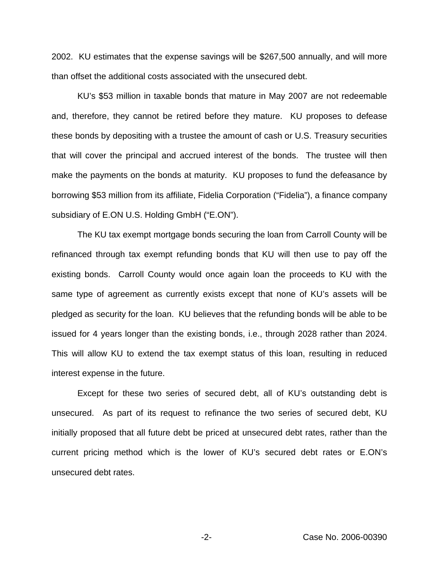2002. KU estimates that the expense savings will be \$267,500 annually, and will more than offset the additional costs associated with the unsecured debt.

KU's \$53 million in taxable bonds that mature in May 2007 are not redeemable and, therefore, they cannot be retired before they mature. KU proposes to defease these bonds by depositing with a trustee the amount of cash or U.S. Treasury securities that will cover the principal and accrued interest of the bonds. The trustee will then make the payments on the bonds at maturity. KU proposes to fund the defeasance by borrowing \$53 million from its affiliate, Fidelia Corporation ("Fidelia"), a finance company subsidiary of E.ON U.S. Holding GmbH ("E.ON").

The KU tax exempt mortgage bonds securing the loan from Carroll County will be refinanced through tax exempt refunding bonds that KU will then use to pay off the existing bonds. Carroll County would once again loan the proceeds to KU with the same type of agreement as currently exists except that none of KU's assets will be pledged as security for the loan. KU believes that the refunding bonds will be able to be issued for 4 years longer than the existing bonds, i.e., through 2028 rather than 2024. This will allow KU to extend the tax exempt status of this loan, resulting in reduced interest expense in the future.

Except for these two series of secured debt, all of KU's outstanding debt is unsecured. As part of its request to refinance the two series of secured debt, KU initially proposed that all future debt be priced at unsecured debt rates, rather than the current pricing method which is the lower of KU's secured debt rates or E.ON's unsecured debt rates.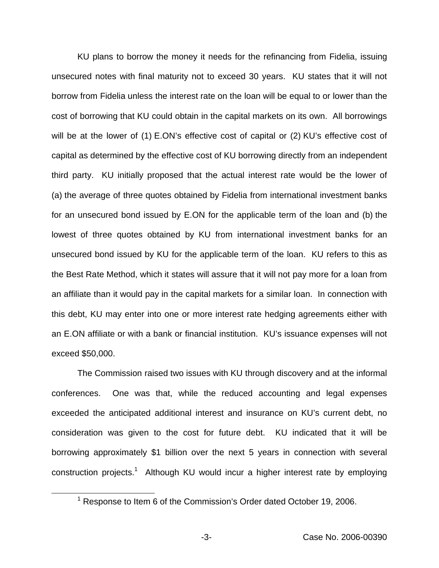KU plans to borrow the money it needs for the refinancing from Fidelia, issuing unsecured notes with final maturity not to exceed 30 years. KU states that it will not borrow from Fidelia unless the interest rate on the loan will be equal to or lower than the cost of borrowing that KU could obtain in the capital markets on its own. All borrowings will be at the lower of (1) E.ON's effective cost of capital or (2) KU's effective cost of capital as determined by the effective cost of KU borrowing directly from an independent third party. KU initially proposed that the actual interest rate would be the lower of (a) the average of three quotes obtained by Fidelia from international investment banks for an unsecured bond issued by E.ON for the applicable term of the loan and (b) the lowest of three quotes obtained by KU from international investment banks for an unsecured bond issued by KU for the applicable term of the loan. KU refers to this as the Best Rate Method, which it states will assure that it will not pay more for a loan from an affiliate than it would pay in the capital markets for a similar loan. In connection with this debt, KU may enter into one or more interest rate hedging agreements either with an E.ON affiliate or with a bank or financial institution. KU's issuance expenses will not exceed \$50,000.

The Commission raised two issues with KU through discovery and at the informal conferences. One was that, while the reduced accounting and legal expenses exceeded the anticipated additional interest and insurance on KU's current debt, no consideration was given to the cost for future debt. KU indicated that it will be borrowing approximately \$1 billion over the next 5 years in connection with several construction projects.<sup>1</sup> Although KU would incur a higher interest rate by employing

<sup>&</sup>lt;sup>1</sup> Response to Item 6 of the Commission's Order dated October 19, 2006.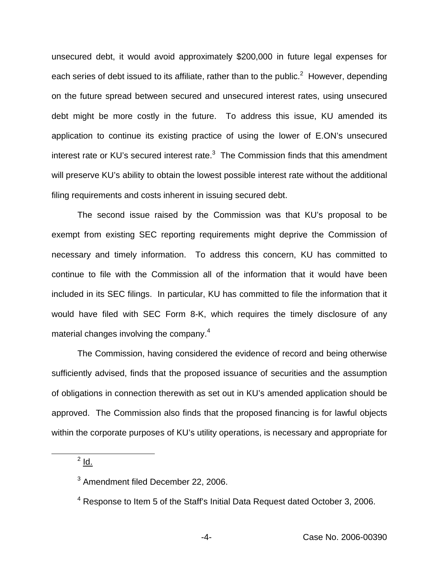unsecured debt, it would avoid approximately \$200,000 in future legal expenses for each series of debt issued to its affiliate, rather than to the public.<sup>2</sup> However, depending on the future spread between secured and unsecured interest rates, using unsecured debt might be more costly in the future. To address this issue, KU amended its application to continue its existing practice of using the lower of E.ON's unsecured interest rate or KU's secured interest rate. $3$  The Commission finds that this amendment will preserve KU's ability to obtain the lowest possible interest rate without the additional filing requirements and costs inherent in issuing secured debt.

The second issue raised by the Commission was that KU's proposal to be exempt from existing SEC reporting requirements might deprive the Commission of necessary and timely information. To address this concern, KU has committed to continue to file with the Commission all of the information that it would have been included in its SEC filings. In particular, KU has committed to file the information that it would have filed with SEC Form 8-K, which requires the timely disclosure of any material changes involving the company.<sup>4</sup>

The Commission, having considered the evidence of record and being otherwise sufficiently advised, finds that the proposed issuance of securities and the assumption of obligations in connection therewith as set out in KU's amended application should be approved. The Commission also finds that the proposed financing is for lawful objects within the corporate purposes of KU's utility operations, is necessary and appropriate for

 $<sup>2</sup>$  Id.</sup>

<sup>&</sup>lt;sup>3</sup> Amendment filed December 22, 2006.

<sup>4</sup> Response to Item 5 of the Staff's Initial Data Request dated October 3, 2006.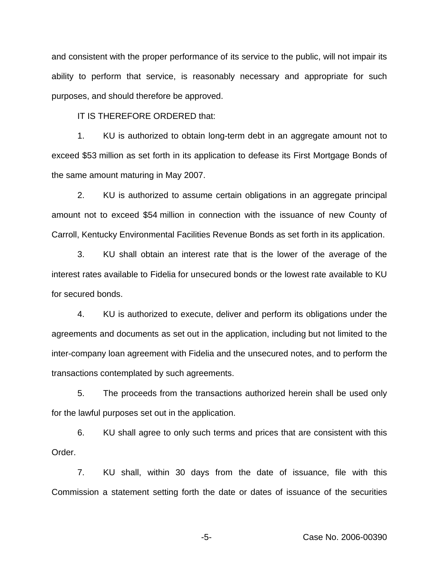and consistent with the proper performance of its service to the public, will not impair its ability to perform that service, is reasonably necessary and appropriate for such purposes, and should therefore be approved.

IT IS THEREFORE ORDERED that:

1. KU is authorized to obtain long-term debt in an aggregate amount not to exceed \$53 million as set forth in its application to defease its First Mortgage Bonds of the same amount maturing in May 2007.

2. KU is authorized to assume certain obligations in an aggregate principal amount not to exceed \$54 million in connection with the issuance of new County of Carroll, Kentucky Environmental Facilities Revenue Bonds as set forth in its application.

3. KU shall obtain an interest rate that is the lower of the average of the interest rates available to Fidelia for unsecured bonds or the lowest rate available to KU for secured bonds.

4. KU is authorized to execute, deliver and perform its obligations under the agreements and documents as set out in the application, including but not limited to the inter-company loan agreement with Fidelia and the unsecured notes, and to perform the transactions contemplated by such agreements.

5. The proceeds from the transactions authorized herein shall be used only for the lawful purposes set out in the application.

6. KU shall agree to only such terms and prices that are consistent with this Order.

7. KU shall, within 30 days from the date of issuance, file with this Commission a statement setting forth the date or dates of issuance of the securities